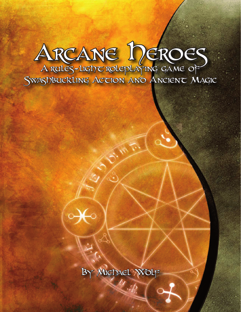# ARCANE DEROES A rules-light roleplaying game of

Swashbuckling Action and Ancient Magic



By Michael Wolf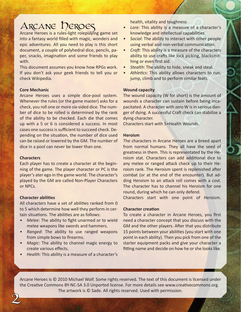# ARCANE DEROES

Arcane Heroes is a rules-light roleplaying game set into a fantasy world filled with magic, wonders and epic adventures. All you need to play is this short document, a couple of polyhedral dice, pencils, paper, snacks, imagination and some friends to play with.

This document assumes you know how RPGs work. If you don't ask your geek friends to tell you or check Wikipedia.

# **Core Mechanic**

Arcane Heroes uses a simple dice-pool system. Whenever the rules (or the game master) asks for a check, you roll one or more six-sided dice. The number of dice to be rolled is determined by the rank of the ability to be checked. Each die that comes up with a 5 or 6 is considered a success. In most cases one success is sufficient to succeed check. Depending on the situation, the number of dice used can be raised or lowered by the GM. The number of dice in a pool can never be lower than one.

# **Characters**

Each player has to create a character at the beginning of the game. The player character or PC is the player's ater ego in the game world. The character's played by the GM are called Non-Player Characters or NPCs.

# **Character abilities**

2

All characters have a set of abilities ranked from 0 to 5 which determine how well they perform in certain situations. The abilities are as follows:

- *Melee*: The ability to fight unarmed or to wield melee weapons like swords and hammers.
- *• Ranged*: The ability to use ranged weapons from simple bows to firearms.
- *• Magic*: The ability to channel magic energy to create various effects.
- *••* Health: This ability is a measure of a character's

health, vitality and toughness

- *Lore:* This ability is a measure of a character's knowledge and intellectual capabilities.
- **•** Social: The ability to interact with other people using verbal and non-verbal communication.
- *Craft:* This ability is a measure of the characters ability to use crafts like lock picking, blacksmithing or even first aid.
- *• Stealth*: The ability to hide, sneak and steal.
- *• Athletics*: This ability allows characters to run, jump, climb and to perform similar feats.

# **Wound capacity**

The wound capacity (W for short) is the amount of wounds a character can sustain before being incapacitated. A character with zero W is in serious danger of dying. A successful Craft check can stabilize a dying character.

Characters start with 5+Health Wounds.

# **Heroism**

The characters in Arcane Heroes are a breed apart from normal humans. They all have the seed of greatness in them. This is representated by the Heroism stat. Characters can add additional dice to any melee or ranged attack check up to their Heroism rank. The Heroism spent is replenished after combat (or at the end of the encounter). But adding Heroism to an attack roll comes with a cost. The character has to channel his Heroism for one round, during which he can only defend.

Characters start with one point of Heroism.

# **Character creation**

To create a character in Arcane Heroes, you first need a character concept that you discuss with the GM and the other players. After that you distribute 15 points between your abilities (you start with one point in each ability). Then you pick from one of the starter equipment packs and give your character a fitting name and decide on how he or she looks like.

Arcane Heroes is © 2010 Michael Wolf. Some rights reserved. The text of this document is licensed under the Creative Commons BY-NC-SA 3.0 Unported license. For more details see www.creativecommons.org. The artwork is © Sade. All rights reserved. Used with permission.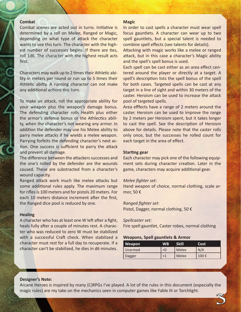# **Combat**

Combat scenes are acted out in turns. Initiative is determined by a roll on Melee, Ranged or Magic, depending on what type of attack the character wants to use this turn. The character with the highest number of successes begins. If there are ties, roll 1d6. The character with the highest result acts first.

Characters may walk up to 2 times their Athletic ability in meters per round or run up to 5 times their Athletic abilty. A running character can not make any additional actions this turn.

To make an attack, roll the appropriate ability for your weapon plus the weapon's damage bonus. The defending character rolls Health plus either the armor's defense bonus or the Athlectics ability, when the character's not wearing any armor. In addition the defender may use his Melee ability to parry melee attacks if he wields a melee weapon. Parrying forfeits the defending character's next action. One success is sufficient to parry the attack and prevent all damage.

The difference between the attackers successes and the one's rolled by the defender are the wounds caused. These are substracted from a character's wound capacity.

Ranged attack work much like melee attacks but some additional rules apply. The maximum range for rifles is 100 meters and for pistols 20 meters. For each 10 meters distance increment after the first, the Ranged dice pool is reduced by one.

#### **Healing**

A character who has at least one W left after a fight, heals fully after a couple of minutes rest. A character who was reduced to zero W must be stabilized with a successful Craft check. When stabilized a character must rest for a full day to recuperate. If a character can't be stabilized, he dies in d6 minutes.

# **Magic**

In order to cast spells a character must wear spell focus gauntlets. A character can wear up to two spell gauntlets, but a special talent is needed to combine spell effects (see talents for details).

Attacking with magic works like a melee or ranged attack, but in this case a character's Magic ability and the spell's spell bonus is used.

Each spell can be cast either as an area effect centered around the player or directly at a target. A spell's description lists the spell bonus of the spell for both cases. Targeted spells can be cast at any target in a line of sight and within 30 meters of the caster. Heroism can be used to increase the attack pool of targeted spells.

Area efffects have a range of 2 meters around the caster. Heroism can be used to improve the range by 2 meters per Heroism spent, but it takes longer to cast the spell. See the description of Heroism above for details. Please note that the caster rolls only once, but the successes he rolled count for each target in the area of effect.

# **Starting gear**

Each character may pick one of the following equipment sets during character creation. Later in the game, characters may acquire additional gear.

# *Melee fighter set:*

Hand weapon of choice, normal clothing, scale armor, 50 €

#### *Ranged fighter set:*

Pistol, Dagger, normal clothing, 50 €

# *Spellcaster set:*

Fire spell gauntlet, Caster robes, normal clothing

# **Weapons, Spell gauntlets & Armor**

| Weapon  | WB | Skill | Cost |
|---------|----|-------|------|
| Unarmed | +0 | Melee | N/A  |
| Dagger  |    | Melee | 100€ |

3

#### **Designer's Note:**

Arcane Heroes is inspired by many (C)RPGs I've played. A lot of the rules in this document (especially the magic rules) are my take on the mechanics seen in computer games like Fable III or Torchlight.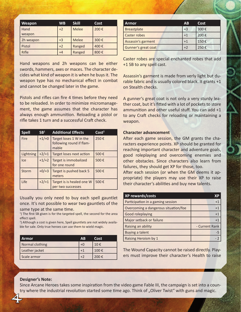| Weapon         | <b>WB</b> | <b>Skill</b> | Cost |
|----------------|-----------|--------------|------|
| Hand<br>weapon | $+2$      | Melee        | 200€ |
| 2h weapon      | $+3$      | <b>Melee</b> | 300€ |
| Pistol         | $+2$      | Ranged       | 400€ |
| Rifle          | $+4$      | Ranged       | 800€ |

Hand weapons and 2h weapons can be either swords, hammers, axes or maces. The character decides what kind of weapon it is when he buys it. The weapon type has no mechanical effect in combat and cannot be changed later in the game.

Pistols and rifles can fire 4 times before they need to be reloaded. In order to minimize micromanagement, the game assumes that the character has always enough ammunition. Reloading a pistol or rifle takes 1 turn and a successful Craft check.

| <b>Spell</b> | SB <sup>1</sup> | <b>Additional Effects</b>                                    | Cost <sup>2</sup> |
|--------------|-----------------|--------------------------------------------------------------|-------------------|
| Fire         | $+1/+0$         | Target loses 1 W in the<br>following round if flam-<br>mable | 250€              |
| Lightning    | $+2/+1$         | Target loses next action                                     | 500€              |
| <b>Ice</b>   | $+1/+2$         | Target is immobalized<br>for one round                       | 500€              |
| <b>Storm</b> | $+0/ +3$        | Target is pushed back 5<br>meters                            | 500€              |
| Life         | $+2/+1$         | Target is is healed one W<br>per two successes               | 500€              |

Usually you only need to buy each spell gauntlet once. It's not possible to wear two gauntlets of the same type at the same time.

<sup>1</sup>) The first SB given is for the targeted spell, the second for the area effect spell.

2 ) Although a cost is given here, Spell gauntlets are not widely available for sale. Only true heroes can use them to wield magic.

| <b>Armor</b>    | AB | Cost |
|-----------------|----|------|
| Normal clothing |    | 10€  |
| Leather jacket  |    | 100€ |
| Scale armor     | ٠J | 200€ |

| <b>Armor</b>        | <b>AB</b> | Cost |
|---------------------|-----------|------|
| <b>Breastplate</b>  | $+3$      | 300€ |
| Caster robes        | $+1$      | 200€ |
| Assassin's garment  | $+1$      | 150€ |
| Gunner's great coat | $+2$      | 250€ |

Caster robes are special enchanted robes that add +1 SB to any spell cast.

Assassin's garment is made from verly light but durable fabric and is usually colored black. It grants +1 on Stealth checks.

A gunner's great coat is not only a very sturdy leather coat, but it's fitted with a lot of pockets to store ammunition and other useful stuff. You can add +1 to any Craft checks for reloading or maintaining a weapon.

# **Character advancement**

After each game session, the GM grants the characters experience points. XP should be granted for reaching important character and adventure goals, good roleplaying and overcoming enemies and other obstacles. Since characters also learn from failures, they should get XP for those, too.

After each session (or when the GM deems it appropriate) the players may use their XP to raise their character's abilities and buy new talents.

| XP rewards/costs                     | ХP             |
|--------------------------------------|----------------|
| Participation in a gaming session    | $+1$           |
| Overcoming a dangerous situation/foe | $+1$           |
| Good roleplaying                     | $+1$           |
| Major setback or failure             | $+1$           |
| Raising an ability                   | - Current Rank |
| Buying a talent                      | -5             |
| Raising Heroism by 1                 |                |

The Wound Capacity cannot be raised directly. Players must improve their character's Health to raise

# **Designer's Note:**

4

Since Arcane Heroes takes some inspiration from the video game Fable III, the campaign is set into a country where the industrial revolution started some time ago. Think of "Oliver Twist" with guns and magic.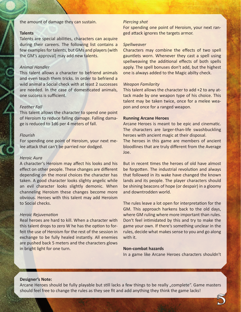the amount of damage they can sustain.

# **Talents**

Talents are special abilities, characters can acquire during their careers. The following list contains a few examples for talents, but GMs and players (with the GM's approval) may add new talents.

# *Animal Handler*

This talent allows a character to befriend animals and even teach them tricks. In order to befriend a wild animal a Social check with at least 2 successes are needed. In the case of domesticated animals, one success is sufficient.

# *Feather Fall*

This talent allows the character to spend one point of Heroism to reduce falling damage. Falling damage is reduced to 1d6 per 4 meters of fall.

# *Flourish*

For spending one point of Heroism, your next melee attack that can't be parried nor dodged.

#### *Heroic Aura*

A character's Heroism may affect his looks and his effect on other people. These changes are different depending on the moral choices the character has taken. A good character looks slighty angelic while an evil character looks slightly demonic. When channeling Heroism these changes become more obvious. Heroes with this talent may add Heroism to Social checks.

# *Heroic Rejuvenation*

Real heroes are hard to kill. When a character with this talent drops to zero W he has the option to forfeit the use of Heroism for the rest of the session in exchange to be fully healed instantly. All enemies are pushed back 5 meters and the characters glows in bright light for one turn.

# *Piercing shot*

For spending one point of Heroism, your next ranged attack ignores the targets armor.

#### *Spellweaver*

Characters may combine the effects of two spell gauntlets worn. Whenever they cast a spell using spellweaving the additional effects of both spells apply. The spell bonuses don't add, but the highest one is always added to the Magic abilty check.

# *Weapon Familarity*

This talent allows the character to add +2 to any attack made by one weapon type of his choice. This talent may be taken twice, once for a melee weapon and once for a ranged weapon.

#### **Running Arcane Heroes**

Arcane Heroes is meant to be epic and cinematic. The characters are larger-than-life swashbuckling heroes with ancient magic at their disposal. The heroes in this game are members of ancient bloodlines that are truly different from the Average Joe.

But in recent times the heroes of old have almost be forgotten. The industrial revolution and always that followed in its wake have changed the known lands and its people. The player characters should be shining beacons of hope (or despair) in a gloomy and downtrodden world.

The rules leave a lot open for interpretation for the GM. This approach harkens back to the old days, where GM ruling where more important than rules. Don't feel intimidated by this and try to make the game your own. If there's something unclear in the rules, decide what makes sense to you and go along with it.

# **Non-combat hazards**

In a game like Arcane Heroes characters shouldn't

5

# **Designer's Note:**

Arcane Heroes should be fully playable but still lacks a few things to be really "complete". Game masters should feel free to change the rules as they see fit and add anything they think the game lacks!